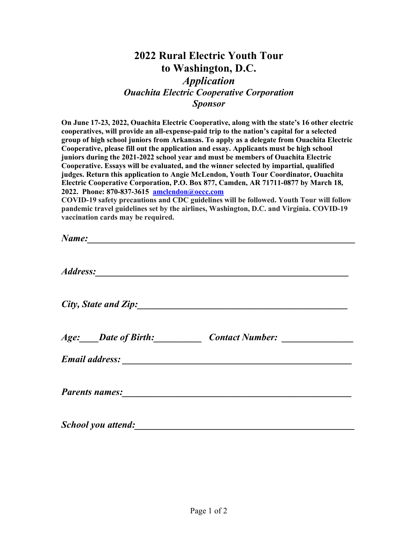## **2022 Rural Electric Youth Tour to Washington, D.C.**

## *Application Ouachita Electric Cooperative Corporation Sponsor*

**On June 17-23, 2022, Ouachita Electric Cooperative, along with the state's 16 other electric cooperatives, will provide an all-expense-paid trip to the nation's capital for a selected group of high school juniors from Arkansas. To apply as a delegate from Ouachita Electric Cooperative, please fill out the application and essay. Applicants must be high school juniors during the 2021-2022 school year and must be members of Ouachita Electric Cooperative. Essays will be evaluated, and the winner selected by impartial, qualified judges. Return this application to Angie McLendon, Youth Tour Coordinator, Ouachita Electric Cooperative Corporation, P.O. Box 877, Camden, AR 71711-0877 by March 18, 2022. Phone: 870-837-3615 [amclendon@oecc.com](mailto:amclendon@oecc.com)**

**COVID-19 safety precautions and CDC guidelines will be followed. Youth Tour will follow pandemic travel guidelines set by the airlines, Washington, D.C. and Virginia. COVID-19 vaccination cards may be required.**

| Address: <u>Address:</u> |                                                                                  |
|--------------------------|----------------------------------------------------------------------------------|
|                          | City, State and Zip:                                                             |
|                          | Age: ____Date of Birth: _______________Contact Number: _________________________ |
|                          |                                                                                  |
|                          |                                                                                  |
|                          |                                                                                  |